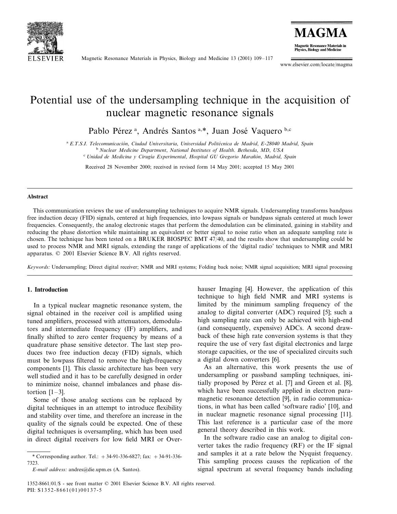

Magnetic Resonance Materials in Physics, Biology and Medicine 13 (2001) 109–117

**MAGMA Magnetic Resonance Materials in** Physics, Biology and Medicine

www.elsevier.com/locate/magma

# Potential use of the undersampling technique in the acquisition of nuclear magnetic resonance signals

Pablo Pérez<sup>a</sup>, Andrés Santos<sup>a,\*</sup>, Juan José Vaquero b,c

<sup>a</sup> *E*.*T*.*S*.*I*. *Telecomunicacio´n*, *Ciudad Uniersitaria*, *Uniersidad Polite´cnica de Madrid*, *E*-<sup>28040</sup> *Madrid*, *Spain*

<sup>b</sup> *Nuclear Medicine Department*, *National Institutes of Health*. *Bethesda*, *MD*, *USA* <sup>c</sup> *Unidad de Medicina y Cirugı´a Experimental*, *Hospital GU Gregorio Maran˜o´n*, *Madrid*, *Spain*

Received 28 November 2000; received in revised form 14 May 2001; accepted 15 May 2001

#### **Abstract**

This communication reviews the use of undersampling techniques to acquire NMR signals. Undersampling transforms bandpass free induction decay (FID) signals, centered at high frequencies, into lowpass signals or bandpass signals centered at much lower frequencies. Consequently, the analog electronic stages that perform the demodulation can be eliminated, gaining in stability and reducing the phase distortion while maintaining an equivalent or better signal to noise ratio when an adequate sampling rate is chosen. The technique has been tested on a BRUKER BIOSPEC BMT 47/40, and the results show that undersampling could be used to process NMR and MRI signals, extending the range of applications of the 'digital radio' techniques to NMR and MRI apparatus. © 2001 Elsevier Science B.V. All rights reserved.

*Keywords*: Undersampling; Direct digital receiver; NMR and MRI systems; Folding back noise; NMR signal acquisition; MRI signal processing

# **1. Introduction**

In a typical nuclear magnetic resonance system, the signal obtained in the receiver coil is amplified using tuned amplifiers, processed with attenuators, demodulators and intermediate frequency (IF) amplifiers, and finally shifted to zero center frequency by means of a quadrature phase sensitive detector. The last step produces two free induction decay (FID) signals, which must be lowpass filtered to remove the high-frequency components [1]. This classic architecture has been very well studied and it has to be carefully designed in order to minimize noise, channel imbalances and phase distortion  $[1-3]$ .

Some of those analog sections can be replaced by digital techniques in an attempt to introduce flexibility and stability over time, and therefore an increase in the quality of the signals could be expected. One of these digital techniques is oversampling, which has been used in direct digital receivers for low field MRI or Overhauser Imaging [4]. However, the application of this technique to high field NMR and MRI systems is limited by the minimum sampling frequency of the analog to digital converter (ADC) required [5]; such a high sampling rate can only be achieved with high-end (and consequently, expensive) ADCs. A second drawback of these high rate conversion systems is that they require the use of very fast digital electronics and large storage capacities, or the use of specialized circuits such a digital down converters [6].

As an alternative, this work presents the use of undersampling or passband sampling techniques, initially proposed by Pérez et al. [7] and Green et al. [8], which have been successfully applied in electron paramagnetic resonance detection [9], in radio communications, in what has been called 'software radio' [10], and in nuclear magnetic resonance signal processing [11]. This last reference is a particular case of the more general theory described in this work.

In the software radio case an analog to digital converter takes the radio frequency (RF) or the IF signal and samples it at a rate below the Nyquist frequency. This sampling process causes the replication of the signal spectrum at several frequency bands including

<sup>\*</sup> Corresponding author. Tel.: +34-91-336-6827; fax: +34-91-336- 7323.

*E*-*mail address*: andres@die.upm.es (A. Santos).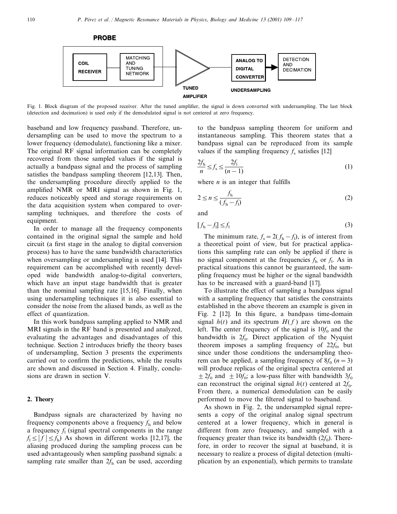**PROBE** 



Fig. 1. Block diagram of the proposed receiver. After the tuned amplifier, the signal is down converted with undersampling. The last block (detection and decimation) is used only if the demodulated signal is not centered at zero frequency.

baseband and low frequency passband. Therefore, undersampling can be used to move the spectrum to a lower frequency (demodulate), functioning like a mixer. The original RF signal information can be completely recovered from those sampled values if the signal is actually a bandpass signal and the process of sampling satisfies the bandpass sampling theorem [12,13]. Then, the undersampling procedure directly applied to the amplified NMR or MRI signal as shown in Fig. 1, reduces noticeably speed and storage requirements on the data acquisition system when compared to oversampling techniques, and therefore the costs of equipment.

In order to manage all the frequency components contained in the original signal the sample and hold circuit (a first stage in the analog to digital conversion process) has to have the same bandwidth characteristics when oversampling or undersampling is used [14]. This requirement can be accomplished with recently developed wide bandwidth analog-to-digital converters, which have an input stage bandwidth that is greater than the nominal sampling rate [15,16]. Finally, when using undersampling techniques it is also essential to consider the noise from the aliased bands, as well as the effect of quantization.

In this work bandpass sampling applied to NMR and MRI signals in the RF band is presented and analyzed, evaluating the advantages and disadvantages of this technique. Section 2 introduces briefly the theory bases of undersampling, Section 3 presents the experiments carried out to confirm the predictions, while the results are shown and discussed in Section 4. Finally, conclusions are drawn in section V.

# **2. Theory**

Bandpass signals are characterized by having no frequency components above a frequency  $f<sub>h</sub>$  and below a frequency  $f_1$  (signal spectral components in the range  $f_1 \le |f| \le f_h$ ) As shown in different works [12,17], the aliasing produced during the sampling process can be used advantageously when sampling passband signals: a sampling rate smaller than  $2f<sub>h</sub>$  can be used, according

to the bandpass sampling theorem for uniform and instantaneous sampling. This theorem states that a bandpass signal can be reproduced from its sample values if the sampling frequency  $f_s$  satisfies [12]

$$
\frac{2f_{\rm h}}{n} \le f_{\rm s} \le \frac{2f_1}{(n-1)}\tag{1}
$$

where  $n$  is an integer that fulfills

$$
2 \le n \le \frac{f_h}{(f_h - f_l)}\tag{2}
$$

and

$$
[f_{\rm h} - f_{\rm l}] \le f_{\rm l} \tag{3}
$$

The minimum rate,  $f_s = 2(f_h - f_l)$ , is of interest from a theoretical point of view, but for practical applications this sampling rate can only be applied if there is no signal component at the frequencies  $f<sub>h</sub>$  or  $f<sub>l</sub>$ . As in practical situations this cannot be guaranteed, the sampling frequency must be higher or the signal bandwidth has to be increased with a guard-band [17].

To illustrate the effect of sampling a bandpass signal with a sampling frequency that satisfies the constraints established in the above theorem an example is given in Fig. 2 [12]. In this figure, a bandpass time-domain signal  $h(t)$  and its spectrum  $H(f)$  are shown on the left. The center frequency of the signal is  $10f_0$  and the bandwidth is  $2f_0$ . Direct application of the Nyquist theorem imposes a sampling frequency of  $22f_0$ , but since under those conditions the undersampling theorem can be applied, a sampling frequency of  $8f_0$  ( $n=3$ ) will produce replicas of the original spectra centered at  $\pm 2f_0$  and  $\pm 10f_0$ ; a low-pass filter with bandwidth  $3f_0$ can reconstruct the original signal  $h(t)$  centered at  $2f_0$ . From there, a numerical demodulation can be easily performed to move the filtered signal to baseband.

As shown in Fig. 2, the undersampled signal represents a copy of the original analog signal spectrum centered at a lower frequency, which in general is different from zero frequency, and sampled with a frequency greater than twice its bandwidth  $(2f_0)$ . Therefore, in order to recover the signal at baseband, it is necessary to realize a process of digital detection (multiplication by an exponential), which permits to translate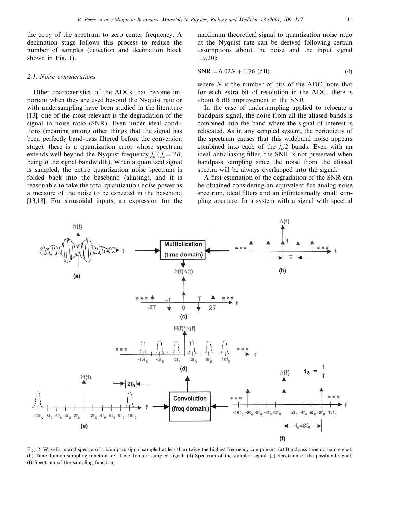the copy of the spectrum to zero center frequency. A decimation stage follows this process to reduce the number of samples (detection and decimation block shown in Fig. 1).

#### <sup>2</sup>.1. *Noise considerations*

Other characteristics of the ADCs that become important when they are used beyond the Nyquist rate or with undersampling have been studied in the literature [13]; one of the most relevant is the degradation of the signal to noise ratio (SNR). Even under ideal conditions (meaning among other things that the signal has been perfectly band-pass filtered before the conversion stage), there is a quantization error whose spectrum extends well beyond the Nyquist frequency  $f_s$  ( $f_s = 2B$ , being *B* the signal bandwidth). When a quantized signal is sampled, the entire quantization noise spectrum is folded back into the baseband (aliasing), and it is reasonable to take the total quantization noise power as a measure of the noise to be expected in the baseband [13,18]. For sinusoidal inputs, an expression for the

 $h(t)$ 

maximum theoretical signal to quantization noise ratio at the Nyquist rate can be derived following certain assumptions about the noise and the input signal [19,20]:

$$
SNR = 6.02N + 1.76 \text{ (dB)}\tag{4}
$$

where *N* is the number of bits of the ADC; note that for each extra bit of resolution in the ADC, there is about 6 dB improvement in the SNR.

In the case of undersampling applied to relocate a bandpass signal, the noise from all the aliased bands is combined into the band where the signal of interest is relocated. As in any sampled system, the periodicity of the spectrum causes that this wideband noise appears combined into each of the  $f_s/2$  bands. Even with an ideal antialiasing filter, the SNR is not preserved when bandpass sampling since the noise from the aliased spectra will be always overlapped into the signal.

A first estimation of the degradation of the SNR can be obtained considering an equivalent flat analog noise spectrum, ideal filters and an infinitesimally small sampling aperture. In a system with a signal with spectral

 $\Delta(t)$ 



Fig. 2. Waveform and spectra of a bandpass signal sampled at less than twice the highest frequency component. (a) Bandpass time-domain signal. (b) Time-domain sampling function. (c) Time-domain sampled signal. (d) Spectrum of the sampled signal. (e) Spectrum of the passband signal. (f) Spectrum of the sampling function.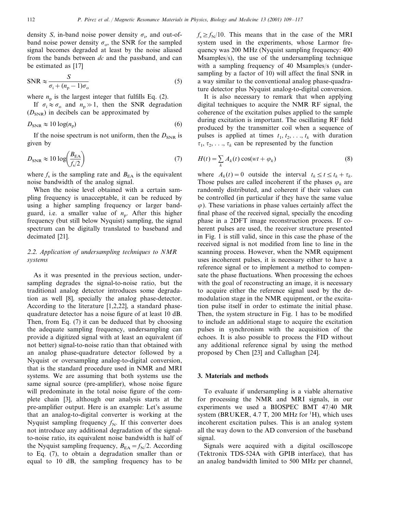density *S*, in-band noise power density  $\sigma_i$ , and out-ofband noise power density  $\sigma_{\rm o}$ , the SNR for the sampled signal becomes degraded at least by the noise aliased from the bands between *dc* and the passband, and can be estimated as [17]

$$
SNR \approx \frac{S}{\sigma_i + (n_p - 1)\sigma_o} \tag{5}
$$

where  $n_p$  is the largest integer that fulfills Eq. (2).

If  $\sigma_i \approx \sigma_o$  and  $n_p \gg 1$ , then the SNR degradation  $(D_{SNR})$  in decibels can be approximated by

$$
D_{\text{SNR}} \approx 10 \log(n_{\text{p}}) \tag{6}
$$

If the noise spectrum is not uniform, then the  $D_{SNR}$  is given by

$$
D_{\text{SNR}} \approx 10 \log \left( \frac{B_{\text{EA}}}{f_{\text{s}}/2} \right) \tag{7}
$$

where  $f_s$  is the sampling rate and  $B_{EA}$  is the equivalent noise bandwidth of the analog signal.

When the noise level obtained with a certain sampling frequency is unacceptable, it can be reduced by using a higher sampling frequency or larger bandguard, i.e. a smaller value of  $n_p$ . After this higher frequency (but still below Nyquist) sampling, the signal spectrum can be digitally translated to baseband and decimated [21].

# <sup>2</sup>.2. *Application of undersampling techniques to NMR systems*

As it was presented in the previous section, undersampling degrades the signal-to-noise ratio, but the traditional analog detector introduces some degradation as well [8], specially the analog phase-detector. According to the literature [1,2,22], a standard phasequadrature detector has a noise figure of at least 10 dB. Then, from Eq. (7) it can be deduced that by choosing the adequate sampling frequency, undersampling can provide a digitized signal with at least an equivalent (if not better) signal-to-noise ratio than that obtained with an analog phase-quadrature detector followed by a Nyquist or oversampling analog-to-digital conversion, that is the standard procedure used in NMR and MRI systems. We are assuming that both systems use the same signal source (pre-amplifier), whose noise figure will predominate in the total noise figure of the complete chain [3], although our analysis starts at the pre-amplifier output. Here is an example: Let's assume that an analog-to-digital converter is working at the Nyquist sampling frequency  $f_N$ . If this converter does not introduce any additional degradation of the signalto-noise ratio, its equivalent noise bandwidth is half of the Nyquist sampling frequency,  $B_{EA} = f_N/2$ . According to Eq. (7), to obtain a degradation smaller than or equal to 10 dB, the sampling frequency has to be

 $f_s \ge f_N/10$ . This means that in the case of the MRI system used in the experiments, whose Larmor frequency was 200 MHz (Nyquist sampling frequency: 400 Msamples/s), the use of the undersampling technique with a sampling frequency of 40 Msamples/s (undersampling by a factor of 10) will affect the final SNR in a way similar to the conventional analog phase-quadrature detector plus Nyquist analog-to-digital conversion.

It is also necessary to remark that when applying digital techniques to acquire the NMR RF signal, the coherence of the excitation pulses applied to the sample during excitation is important. The oscillating RF field produced by the transmitter coil when a sequence of pulses is applied at times  $t_1, t_2, \ldots, t_k$  with duration  $\tau_1, \tau_2, \ldots, \tau_k$  can be represented by the function

$$
H(t) = \sum_{k} A_k(t) \cos(wt + \varphi_k)
$$
 (8)

where  $A_k(t) = 0$  outside the interval  $t_k \le t \le t_k + \tau_k$ . Those pulses are called incoherent if the phases  $\varphi_k$  are randomly distributed, and coherent if their values can be controlled (in particular if they have the same value  $\varphi$ ). These variations in phase values certainly affect the final phase of the received signal, specially the encoding phase in a 2DFT image reconstruction process. If coherent pulses are used, the receiver structure presented in Fig. 1 is still valid, since in this case the phase of the received signal is not modified from line to line in the scanning process. However, when the NMR equipment uses incoherent pulses, it is necessary either to have a reference signal or to implement a method to compensate the phase fluctuations. When processing the echoes with the goal of reconstructing an image, it is necessary to acquire either the reference signal used by the demodulation stage in the NMR equipment, or the excitation pulse itself in order to estimate the initial phase. Then, the system structure in Fig. 1 has to be modified to include an additional stage to acquire the excitation pulses in synchronism with the acquisition of the echoes. It is also possible to process the FID without any additional reference signal by using the method proposed by Chen [23] and Callaghan [24].

### **3. Materials and methods**

To evaluate if undersampling is a viable alternative for processing the NMR and MRI signals, in our experiments we used a BIOSPEC BMT 47/40 MR system (BRUKER,  $4.7$  T,  $200$  MHz for  ${}^{1}$ H), which uses incoherent excitation pulses. This is an analog system all the way down to the AD conversion of the baseband signal.

Signals were acquired with a digital oscilloscope (Tektronix TDS-524A with GPIB interface), that has an analog bandwidth limited to 500 MHz per channel,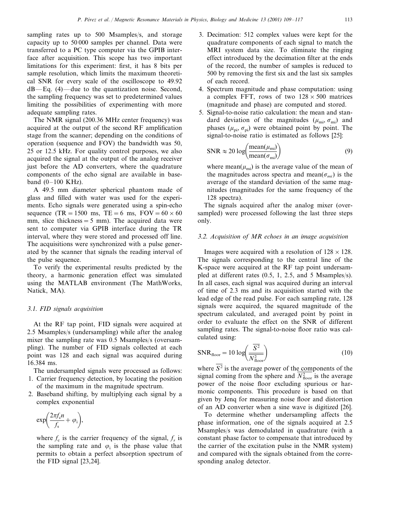sampling rates up to 500 Msamples/s, and storage capacity up to 50 000 samples per channel. Data were transferred to a PC type computer via the GPIB interface after acquisition. This scope has two important limitations for this experiment: first, it has 8 bits per sample resolution, which limits the maximum theoretical SNR for every scale of the oscilloscope to 49.92 dB—Eq. (4)—due to the quantization noise. Second, the sampling frequency was set to predetermined values limiting the possibilities of experimenting with more adequate sampling rates.

The NMR signal (200.36 MHz center frequency) was acquired at the output of the second RF amplification stage from the scanner; depending on the conditions of operation (sequence and FOV) the bandwidth was 50, 25 or 12.5 kHz. For quality control purposes, we also acquired the signal at the output of the analog receiver just before the AD converters, where the quadrature components of the echo signal are available in baseband  $(0-100$  KHz).

A 49.5 mm diameter spherical phantom made of glass and filled with water was used for the experiments. Echo signals were generated using a spin-echo sequence (TR = 1500 ms, TE = 6 ms, FOV =  $60 \times 60$ ) mm, slice thickness  $=5$  mm). The acquired data were sent to computer via GPIB interface during the TR interval, where they were stored and processed off line. The acquisitions were synchronized with a pulse generated by the scanner that signals the reading interval of the pulse sequence.

To verify the experimental results predicted by the theory, a harmonic generation effect was simulated using the MATLAB environment (The MathWorks, Natick, MA).

#### 3.1. *FID signals acquisition*

At the RF tap point, FID signals were acquired at 2.5 Msamples/s (undersampling) while after the analog mixer the sampling rate was 0.5 Msamples/s (oversampling). The number of FID signals collected at each point was 128 and each signal was acquired during 16.384 ms.

The undersampled signals were processed as follows: 1. Carrier frequency detection, by locating the position

- of the maximum in the magnitude spectrum.
- 2. Baseband shifting, by multiplying each signal by a complex exponential

$$
\exp\biggl(\frac{2\pi f_c n}{f_s}+\varphi_i\biggr),\,
$$

where  $f_c$  is the carrier frequency of the signal,  $f_s$  is the sampling rate and  $\varphi_i$  is the phase value that permits to obtain a perfect absorption spectrum of the FID signal [23,24].

- 3. Decimation: 512 complex values were kept for the quadrature components of each signal to match the MRI system data size. To eliminate the ringing effect introduced by the decimation filter at the ends of the record, the number of samples is reduced to 500 by removing the first six and the last six samples of each record.
- 4. Spectrum magnitude and phase computation: using a complex FFT, rows of two  $128 \times 500$  matrices (magnitude and phase) are computed and stored.
- 5. Signal-to-noise ratio calculation: the mean and standard deviation of the magnitudes  $(\mu_{mi}, \sigma_{mi})$  and phases  $(\mu_{\rm pi}, \sigma_{\rm pi})$  were obtained point by point. The signal-to-noise ratio is estimated as follows [25]:

$$
SNR \approx 20 \log \left( \frac{\text{mean}(\mu_{\text{mi}})}{\text{mean}(\sigma_{\text{mi}})} \right) \tag{9}
$$

where mean( $\mu_{mi}$ ) is the average value of the mean of the magnitudes across spectra and mean( $\sigma_{mi}$ ) is the average of the standard deviation of the same magnitudes (magnitudes for the same frequency of the 128 spectra).

The signals acquired after the analog mixer (oversampled) were processed following the last three steps only.

# 3.2. *Acquisition of MR echoes in an image acquisition*

Images were acquired with a resolution of  $128 \times 128$ . The signals corresponding to the central line of the K-space were acquired at the RF tap point undersampled at different rates (0.5, 1, 2.5, and 5 Msamples/s). In all cases, each signal was acquired during an interval of time of 2.3 ms and its acquisition started with the lead edge of the read pulse. For each sampling rate, 128 signals were acquired, the squared magnitude of the spectrum calculated, and averaged point by point in order to evaluate the effect on the SNR of different sampling rates. The signal-to-noise floor ratio was calculated using:

$$
SNR_{floor} = 10 \log \left( \frac{\overline{S^2}}{N_{floor}^2} \right)
$$
 (10)

where  $\overline{S^2}$  is the average power of the components of the signal coming from the sphere and  $N_{\text{floor}}^2$  is the average power of the noise floor excluding spurious or harmonic components. This procedure is based on that given by Jenq for measuring noise floor and distortion of an AD converter when a sine wave is digitized [26].

To determine whether undersampling affects the phase information, one of the signals acquired at 2.5 Msamples/s was demodulated in quadrature (with a constant phase factor to compensate that introduced by the carrier of the excitation pulse in the NMR system) and compared with the signals obtained from the corresponding analog detector.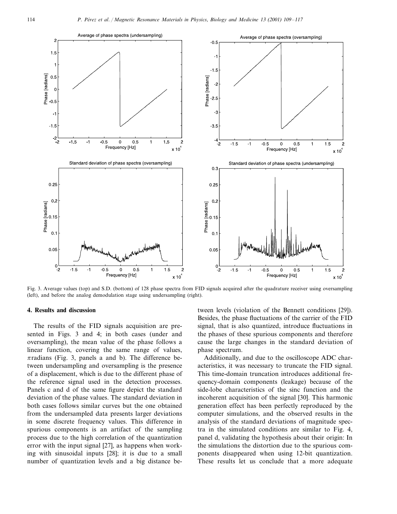

Fig. 3. Average values (top) and S.D. (bottom) of 128 phase spectra from FID signals acquired after the quadrature receiver using oversampling (left), and before the analog demodulation stage using undersampling (right).

#### **4. Results and discussion**

The results of the FID signals acquisition are presented in Figs. 3 and 4; in both cases (under and oversampling), the mean value of the phase follows a linear function, covering the same range of values,  $\pi$ radians (Fig. 3, panels a and b). The difference between undersampling and oversampling is the presence of a displacement, which is due to the different phase of the reference signal used in the detection processes. Panels c and d of the same figure depict the standard deviation of the phase values. The standard deviation in both cases follows similar curves but the one obtained from the undersampled data presents larger deviations in some discrete frequency values. This difference in spurious components is an artifact of the sampling process due to the high correlation of the quantization error with the input signal [27], as happens when working with sinusoidal inputs [28]; it is due to a small number of quantization levels and a big distance between levels (violation of the Bennett conditions [29]). Besides, the phase fluctuations of the carrier of the FID signal, that is also quantized, introduce fluctuations in the phases of these spurious components and therefore cause the large changes in the standard deviation of phase spectrum.

Additionally, and due to the oscilloscope ADC characteristics, it was necessary to truncate the FID signal. This time-domain truncation introduces additional frequency-domain components (leakage) because of the side-lobe characteristics of the sinc function and the incoherent acquisition of the signal [30]. This harmonic generation effect has been perfectly reproduced by the computer simulations, and the observed results in the analysis of the standard deviations of magnitude spectra in the simulated conditions are similar to Fig. 4, panel d, validating the hypothesis about their origin: In the simulations the distortion due to the spurious components disappeared when using 12-bit quantization. These results let us conclude that a more adequate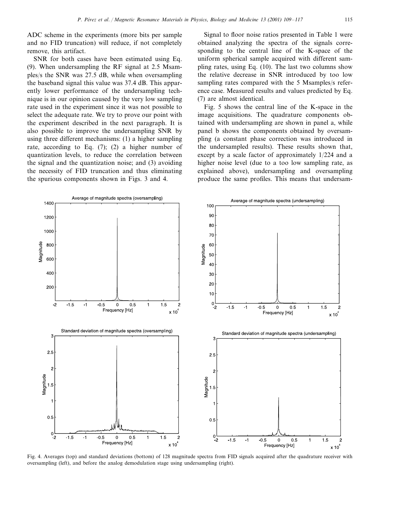ADC scheme in the experiments (more bits per sample and no FID truncation) will reduce, if not completely remove, this artifact.

SNR for both cases have been estimated using Eq. (9). When undersampling the RF signal at 2.5 Msamples/s the SNR was 27.5 dB, while when oversampling the baseband signal this value was 37.4 dB. This apparently lower performance of the undersampling technique is in our opinion caused by the very low sampling rate used in the experiment since it was not possible to select the adequate rate. We try to prove our point with the experiment described in the next paragraph. It is also possible to improve the undersampling SNR by using three different mechanisms: (1) a higher sampling rate, according to Eq. (7); (2) a higher number of quantization levels, to reduce the correlation between the signal and the quantization noise; and (3) avoiding the necessity of FID truncation and thus eliminating the spurious components shown in Figs. 3 and 4.

Signal to floor noise ratios presented in Table 1 were obtained analyzing the spectra of the signals corresponding to the central line of the K-space of the uniform spherical sample acquired with different sampling rates, using Eq. (10). The last two columns show the relative decrease in SNR introduced by too low sampling rates compared with the 5 Msamples/s reference case. Measured results and values predicted by Eq. (7) are almost identical.

Fig. 5 shows the central line of the K-space in the image acquisitions. The quadrature components obtained with undersampling are shown in panel a, while panel b shows the components obtained by oversampling (a constant phase correction was introduced in the undersampled results). These results shown that, except by a scale factor of approximately 1/224 and a higher noise level (due to a too low sampling rate, as explained above), undersampling and oversampling produce the same profiles. This means that undersam-



Fig. 4. Averages (top) and standard deviations (bottom) of 128 magnitude spectra from FID signals acquired after the quadrature receiver with oversampling (left), and before the analog demodulation stage using undersampling (right).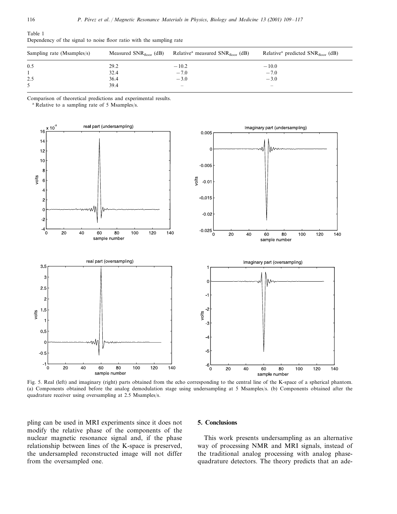| Sampling rate (Msamples/s) | Measured $SNR_{floor}$ (dB) | Relative <sup>a</sup> measured $SNR_{floor}$ (dB) | Relative <sup>a</sup> predicted $SNR_{floor}$ (dB) |
|----------------------------|-----------------------------|---------------------------------------------------|----------------------------------------------------|
| 0.5                        | 29.2                        | $-10.2$                                           | $-10.0$                                            |
|                            | 32.4                        | $-7.0$                                            | $-7.0$                                             |
| 2.5                        | 36.4                        | $-3.0$                                            | $-3.0$                                             |
|                            | 39.4                        | $\overline{\phantom{a}}$                          | $\overline{\phantom{a}}$                           |

Dependency of the signal to noise floor ratio with the sampling rate

Comparison of theoretical predictions and experimental results.

<sup>a</sup> Relative to a sampling rate of 5 Msamples/s.



Fig. 5. Real (left) and imaginary (right) parts obtained from the echo corresponding to the central line of the K-space of a spherical phantom. (a) Components obtained before the analog demodulation stage using undersampling at 5 Msamples/s. (b) Components obtained after the quadrature receiver using oversampling at 2.5 Msamples/s.

pling can be used in MRI experiments since it does not modify the relative phase of the components of the nuclear magnetic resonance signal and, if the phase relationship between lines of the K-space is preserved, the undersampled reconstructed image will not differ from the oversampled one.

#### **5. Conclusions**

This work presents undersampling as an alternative way of processing NMR and MRI signals, instead of the traditional analog processing with analog phasequadrature detectors. The theory predicts that an ade-

Table 1